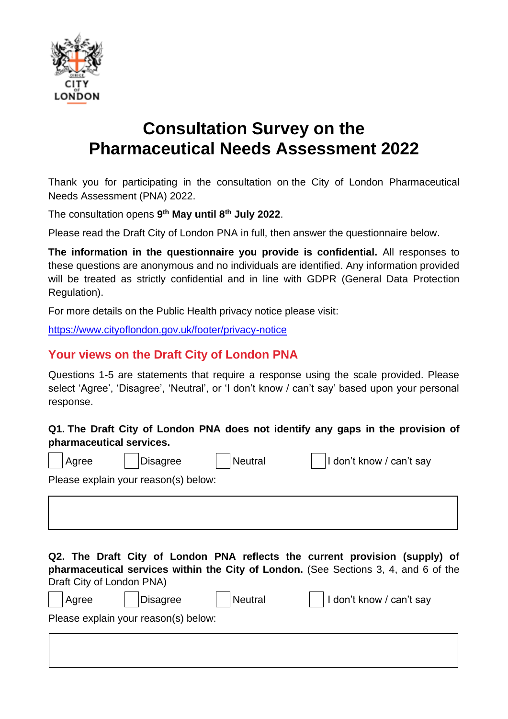

# **Consultation Survey on the Pharmaceutical Needs Assessment 2022**

[Thank you for participating in the consultation on](https://www.surveymonkey.net/MySurvey_EditPage.aspx?sm=jJTfKrzEKmYnSCT5ozBqW4t4DzuHPWxrUjYVHPB89tjGp7TzpW1uTtUWICsHU5zN&TB_iframe=true&height=450&width=650) the City of London Pharmaceutical Needs Assessment (PNA) 2022.

The consultation opens **9 th May until 8th July 2022**.

Please read the Draft City of London PNA in full, then answer the questionnaire below.

**The information in the questionnaire you provide is confidential.** All responses to these questions are anonymous and no individuals are identified. Any information provided will be treated as strictly confidential and in line with GDPR (General Data Protection Regulation).

For more details on the Public Health privacy notice please visit:

<https://www.cityoflondon.gov.uk/footer/privacy-notice>

#### **Your views on the Draft City of London PNA**

Questions 1-5 are statements that require a response using the scale provided. Please select 'Agree', 'Disagree', 'Neutral', or 'I don't know / can't say' based upon your personal response.

#### **Q1. The Draft City of London PNA does not identify any gaps in the provision of pharmaceutical services.**

| Agree                                                                                                                                                                                           | <b>Disagree</b>                      | <b>Neutral</b> | I don't know / can't say |  |  |  |  |
|-------------------------------------------------------------------------------------------------------------------------------------------------------------------------------------------------|--------------------------------------|----------------|--------------------------|--|--|--|--|
|                                                                                                                                                                                                 | Please explain your reason(s) below: |                |                          |  |  |  |  |
|                                                                                                                                                                                                 |                                      |                |                          |  |  |  |  |
| Q2. The Draft City of London PNA reflects the current provision (supply) of<br>pharmaceutical services within the City of London. (See Sections 3, 4, and 6 of the<br>Draft City of London PNA) |                                      |                |                          |  |  |  |  |
| Agree                                                                                                                                                                                           | <b>Disagree</b>                      | <b>Neutral</b> | I don't know / can't say |  |  |  |  |
|                                                                                                                                                                                                 | Please explain your reason(s) below: |                |                          |  |  |  |  |
|                                                                                                                                                                                                 |                                      |                |                          |  |  |  |  |
|                                                                                                                                                                                                 |                                      |                |                          |  |  |  |  |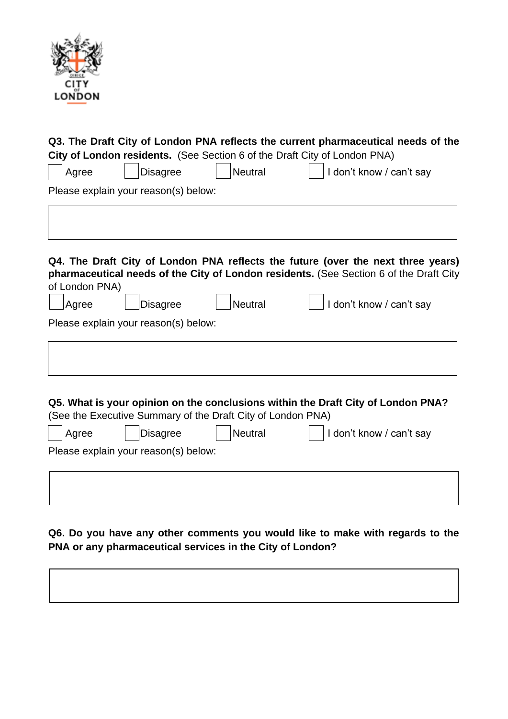

|                         |                                                         |                                                                               | Q3. The Draft City of London PNA reflects the current pharmaceutical needs of the<br>City of London residents. (See Section 6 of the Draft City of London PNA)                                         |  |
|-------------------------|---------------------------------------------------------|-------------------------------------------------------------------------------|--------------------------------------------------------------------------------------------------------------------------------------------------------------------------------------------------------|--|
| Agree                   | <b>Disagree</b>                                         | <b>Neutral</b>                                                                | I don't know / can't say                                                                                                                                                                               |  |
|                         | Please explain your reason(s) below:                    |                                                                               |                                                                                                                                                                                                        |  |
| of London PNA)<br>Agree | <b>Disagree</b>                                         | <b>Neutral</b>                                                                | Q4. The Draft City of London PNA reflects the future (over the next three years)<br>pharmaceutical needs of the City of London residents. (See Section 6 of the Draft City<br>I don't know / can't say |  |
|                         | Please explain your reason(s) below:                    |                                                                               |                                                                                                                                                                                                        |  |
| Agree                   | <b>Disagree</b><br>Please explain your reason(s) below: | (See the Executive Summary of the Draft City of London PNA)<br><b>Neutral</b> | Q5. What is your opinion on the conclusions within the Draft City of London PNA?<br>I don't know / can't say                                                                                           |  |
|                         |                                                         |                                                                               |                                                                                                                                                                                                        |  |

**Q6. Do you have any other comments you would like to make with regards to the PNA or any pharmaceutical services in the City of London?**

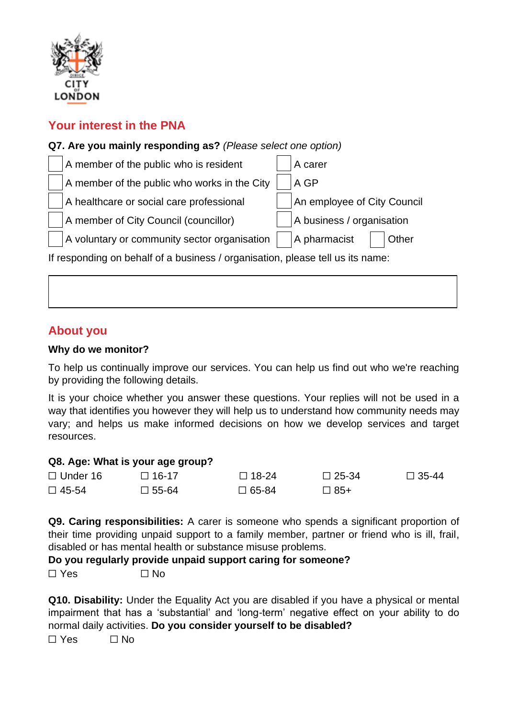

## **Your interest in the PNA**



### **About you**

#### **Why do we monitor?**

To help us continually improve our services. You can help us find out who we're reaching by providing the following details.

It is your choice whether you answer these questions. Your replies will not be used in a way that identifies you however they will help us to understand how community needs may vary; and helps us make informed decisions on how we develop services and target resources.

#### **Q8. Age: What is your age group?**

| $\Box$ Under 16 | $\Box$ 16-17    | $\Box$ 18-24 | $\Box$ 25-34 | $\Box$ 35-44 |
|-----------------|-----------------|--------------|--------------|--------------|
| $\Box$ 45-54    | $\square$ 55-64 | $\Box$ 65-84 | $\Box$ 85+   |              |

**Q9. Caring responsibilities:** A carer is someone who spends a significant proportion of their time providing unpaid support to a family member, partner or friend who is ill, frail, disabled or has mental health or substance misuse problems.

**Do you regularly provide unpaid support caring for someone?**

 $\Box$  Yes  $\Box$  No

**Q10. Disability:** Under the Equality Act you are disabled if you have a physical or mental impairment that has a 'substantial' and 'long-term' negative effect on your ability to do normal daily activities. **Do you consider yourself to be disabled?**

 $\Box$  Yes  $\Box$  No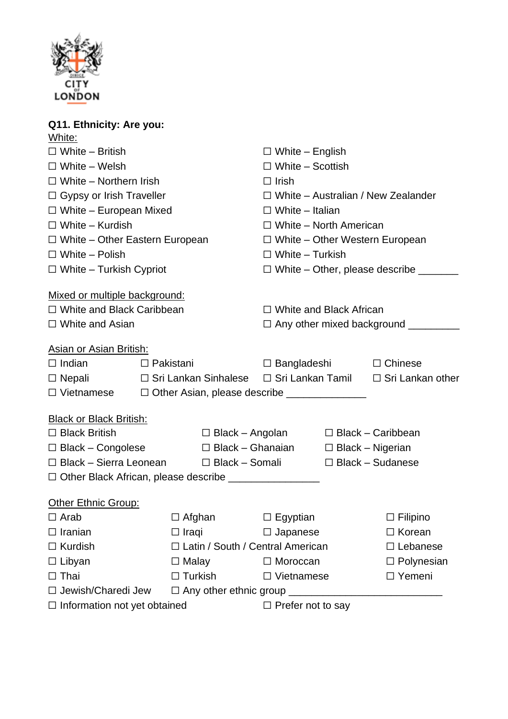

## **Q11. Ethnicity: Are you:** White: ☐ White – British ☐ White – English ☐ White – Welsh ☐ White – Scottish ☐ White – Northern Irish ☐ Irish ☐ Gypsy or Irish Traveller ☐ White – Australian / New Zealander ☐ White – European Mixed ☐ White – Italian ☐ White – Kurdish ☐ White – North American ☐ White – Other Eastern European ☐ White – Other Western European ☐ White – Polish ☐ White – Turkish ☐ White – Turkish Cypriot ☐ White – Other, please describe \_\_\_\_\_\_\_ Mixed or multiple background: ☐ White and Black Caribbean ☐ White and Black African ☐ White and Asian ☐ Any other mixed background \_\_\_\_\_\_\_\_\_ Asian or Asian British: ☐ Indian ☐ Pakistani ☐ Bangladeshi ☐ Chinese ☐ Nepali ☐ Sri Lankan Sinhalese ☐ Sri Lankan Tamil ☐ Sri Lankan other □ Vietnamese □ Other Asian, please describe Black or Black British: ☐ Black British ☐ Black – Angolan ☐ Black – Caribbean ☐ Black – Congolese ☐ Black – Ghanaian ☐ Black – Nigerian ☐ Black – Sierra Leonean ☐ Black – Somali ☐ Black – Sudanese ☐ Other Black African, please describe \_\_\_\_\_\_\_\_\_\_\_\_\_\_\_\_

| Other Ethnic Group:                 |                                    |                          |                   |
|-------------------------------------|------------------------------------|--------------------------|-------------------|
| $\Box$ Arab                         | $\Box$ Afghan                      | $\Box$ Egyptian          | $\Box$ Filipino   |
| $\Box$ Iranian                      | $\Box$ Iraqi                       | $\Box$ Japanese          | $\Box$ Korean     |
| $\Box$ Kurdish                      | □ Latin / South / Central American |                          | $\Box$ Lebanese   |
| $\Box$ Libyan                       | $\Box$ Malay                       | $\Box$ Moroccan          | $\Box$ Polynesian |
| $\Box$ Thai                         | $\Box$ Turkish                     | $\Box$ Vietnamese        | $\Box$ Yemeni     |
| □ Jewish/Charedi Jew                | $\Box$ Any other ethnic group      |                          |                   |
| $\Box$ Information not yet obtained |                                    | $\Box$ Prefer not to say |                   |